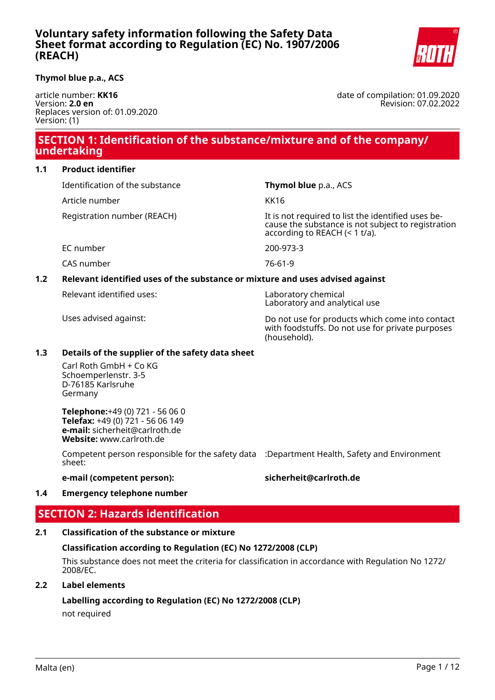

### **Thymol blue p.a., ACS**

article number: **KK16** Version: **2.0 en** Replaces version of: 01.09.2020 Version: (1)

date of compilation: 01.09.2020 Revision: 07.02.2022

# **SECTION 1: Identification of the substance/mixture and of the company/ undertaking**

### **1.1 Product identifier**

Identification of the substance **Thymol blue** p.a., ACS Article number KK16

Registration number (REACH) The state of the identified uses because the substance is not subject to registration according to REACH (< 1 t/a).

EC number 200-973-3

CAS number 76-61-9

# **1.2 Relevant identified uses of the substance or mixture and uses advised against**

Relevant identified uses: Laboratory chemical

Laboratory and analytical use

Uses advised against: Do not use for products which come into contact with foodstuffs. Do not use for private purposes (household).

### **1.3 Details of the supplier of the safety data sheet**

Carl Roth GmbH + Co KG Schoemperlenstr. 3-5 D-76185 Karlsruhe Germany

**Telephone:**+49 (0) 721 - 56 06 0 **Telefax:** +49 (0) 721 - 56 06 149 **e-mail:** sicherheit@carlroth.de **Website:** www.carlroth.de

Competent person responsible for the safety data :Department Health, Safety and Environment sheet:

**e-mail (competent person): sicherheit@carlroth.de**

# **1.4 Emergency telephone number**

# **SECTION 2: Hazards identification**

# **2.1 Classification of the substance or mixture**

# **Classification according to Regulation (EC) No 1272/2008 (CLP)**

This substance does not meet the criteria for classification in accordance with Regulation No 1272/ 2008/EC.

# **2.2 Label elements**

**Labelling according to Regulation (EC) No 1272/2008 (CLP)**

not required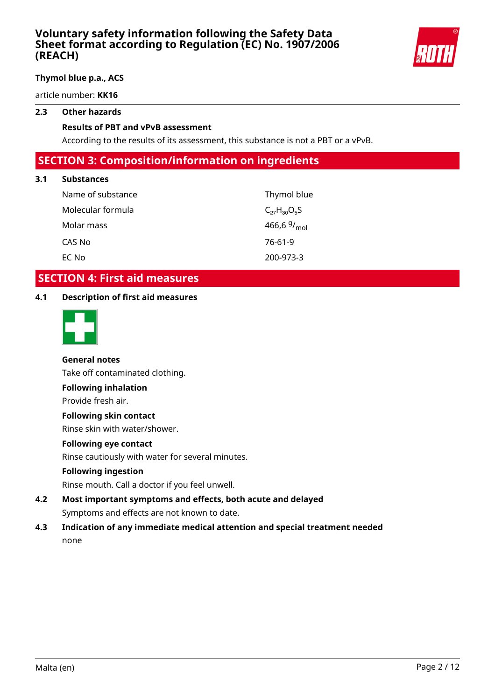

### **Thymol blue p.a., ACS**

article number: **KK16**

### **2.3 Other hazards**

### **Results of PBT and vPvB assessment**

According to the results of its assessment, this substance is not a PBT or a vPvB.

# **SECTION 3: Composition/information on ingredients**

### **3.1 Substances**

| Name of substance | Thymol blue             |
|-------------------|-------------------------|
| Molecular formula | $C_{27}H_{30}O_5S$      |
| Molar mass        | 466,6 $9/_{\text{mol}}$ |
| CAS No            | 76-61-9                 |
| EC No             | 200-973-3               |

# **SECTION 4: First aid measures**

### **4.1 Description of first aid measures**



# **General notes**

Take off contaminated clothing.

### **Following inhalation**

Provide fresh air.

### **Following skin contact**

Rinse skin with water/shower.

### **Following eye contact**

Rinse cautiously with water for several minutes.

### **Following ingestion**

Rinse mouth. Call a doctor if you feel unwell.

- **4.2 Most important symptoms and effects, both acute and delayed** Symptoms and effects are not known to date.
- **4.3 Indication of any immediate medical attention and special treatment needed** none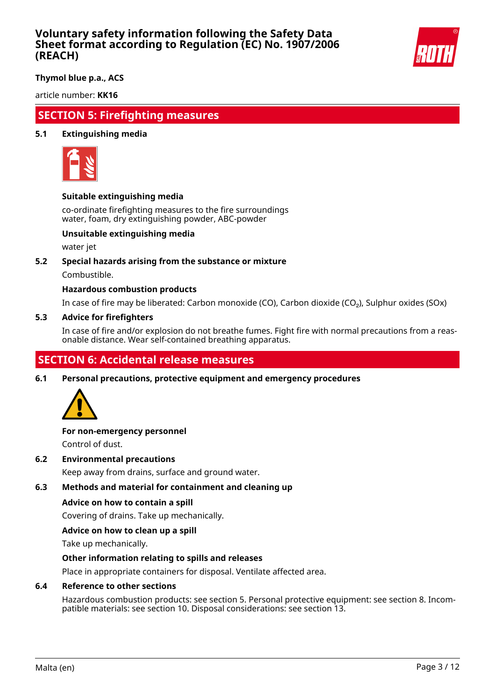

**Thymol blue p.a., ACS**

article number: **KK16**

# **SECTION 5: Firefighting measures**

### **5.1 Extinguishing media**



### **Suitable extinguishing media**

co-ordinate firefighting measures to the fire surroundings water, foam, dry extinguishing powder, ABC-powder

### **Unsuitable extinguishing media**

water jet

### **5.2 Special hazards arising from the substance or mixture**

Combustible.

### **Hazardous combustion products**

In case of fire may be liberated: Carbon monoxide (CO), Carbon dioxide (CO₂), Sulphur oxides (SOx)

#### **5.3 Advice for firefighters**

In case of fire and/or explosion do not breathe fumes. Fight fire with normal precautions from a reasonable distance. Wear self-contained breathing apparatus.

# **SECTION 6: Accidental release measures**

**6.1 Personal precautions, protective equipment and emergency procedures**



# **For non-emergency personnel**

Control of dust.

**6.2 Environmental precautions**

Keep away from drains, surface and ground water.

### **6.3 Methods and material for containment and cleaning up**

### **Advice on how to contain a spill**

Covering of drains. Take up mechanically.

### **Advice on how to clean up a spill**

Take up mechanically.

### **Other information relating to spills and releases**

Place in appropriate containers for disposal. Ventilate affected area.

### **6.4 Reference to other sections**

Hazardous combustion products: see section 5. Personal protective equipment: see section 8. Incompatible materials: see section 10. Disposal considerations: see section 13.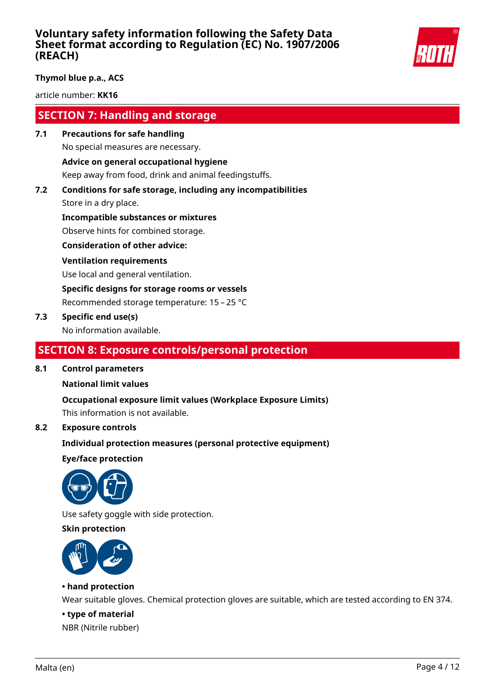

### **Thymol blue p.a., ACS**

article number: **KK16**

# **SECTION 7: Handling and storage**

- **7.1 Precautions for safe handling** No special measures are necessary. **Advice on general occupational hygiene** Keep away from food, drink and animal feedingstuffs.
- **7.2 Conditions for safe storage, including any incompatibilities**

Store in a dry place.

**Incompatible substances or mixtures** Observe hints for combined storage.

**Consideration of other advice:**

### **Ventilation requirements**

Use local and general ventilation.

**Specific designs for storage rooms or vessels**

Recommended storage temperature: 15 – 25 °C

### **7.3 Specific end use(s)**

No information available.

# **SECTION 8: Exposure controls/personal protection**

### **8.1 Control parameters**

### **National limit values**

**Occupational exposure limit values (Workplace Exposure Limits)**

This information is not available.

### **8.2 Exposure controls**

### **Individual protection measures (personal protective equipment)**

**Eye/face protection**



Use safety goggle with side protection.

### **Skin protection**



### **• hand protection**

Wear suitable gloves. Chemical protection gloves are suitable, which are tested according to EN 374.

### **• type of material**

NBR (Nitrile rubber)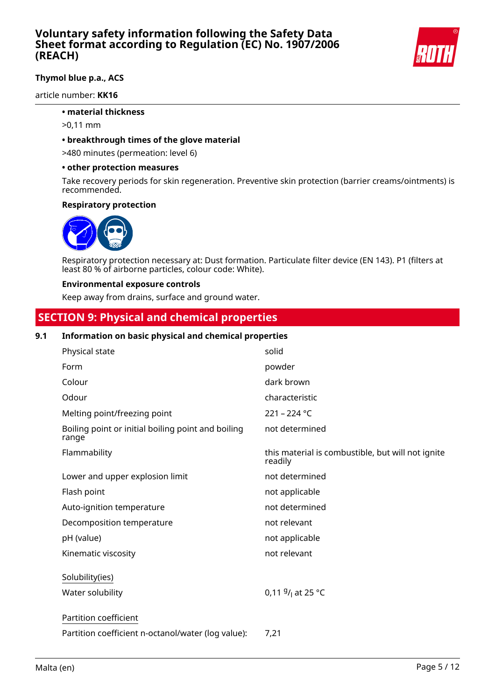

# **Thymol blue p.a., ACS**

article number: **KK16**

### **• material thickness**

- >0,11 mm
- **breakthrough times of the glove material**

>480 minutes (permeation: level 6)

#### **• other protection measures**

Take recovery periods for skin regeneration. Preventive skin protection (barrier creams/ointments) is recommended.

#### **Respiratory protection**



Respiratory protection necessary at: Dust formation. Particulate filter device (EN 143). P1 (filters at least 80 % of airborne particles, colour code: White).

#### **Environmental exposure controls**

Keep away from drains, surface and ground water.

# **SECTION 9: Physical and chemical properties**

### **9.1 Information on basic physical and chemical properties**

| Physical state                                              | solid                                                        |
|-------------------------------------------------------------|--------------------------------------------------------------|
| Form                                                        | powder                                                       |
| Colour                                                      | dark brown                                                   |
| Odour                                                       | characteristic                                               |
| Melting point/freezing point                                | $221 - 224$ °C                                               |
| Boiling point or initial boiling point and boiling<br>range | not determined                                               |
| Flammability                                                | this material is combustible, but will not ignite<br>readily |
| Lower and upper explosion limit                             | not determined                                               |
| Flash point                                                 | not applicable                                               |
| Auto-ignition temperature                                   | not determined                                               |
| Decomposition temperature                                   | not relevant                                                 |
| pH (value)                                                  | not applicable                                               |
| Kinematic viscosity                                         | not relevant                                                 |
| Solubility(ies)                                             |                                                              |
| Water solubility                                            | 0,11 $9/$ at 25 °C                                           |
| Partition coefficient                                       |                                                              |
| Partition coefficient n-octanol/water (log value):          | 7,21                                                         |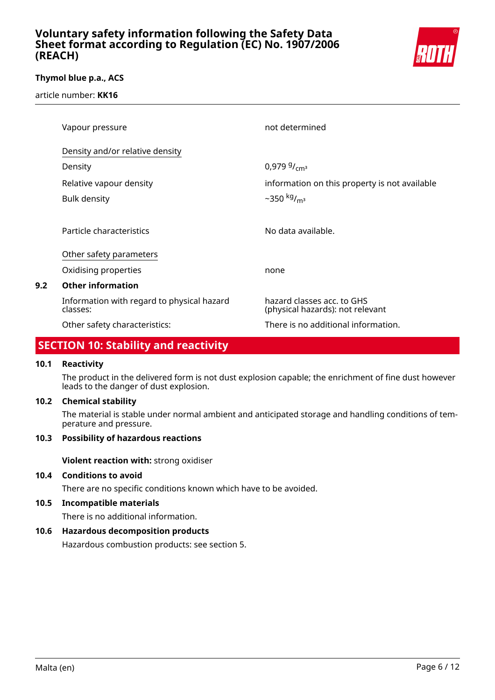

### **Thymol blue p.a., ACS**

article number: **KK16**

| Vapour pressure                                        | not determined                                                 |
|--------------------------------------------------------|----------------------------------------------------------------|
| Density and/or relative density                        |                                                                |
| Density                                                | 0,979 $9/cm^3$                                                 |
| Relative vapour density                                | information on this property is not available                  |
| <b>Bulk density</b>                                    | ~350 $kg/m3$                                                   |
|                                                        |                                                                |
| Particle characteristics                               | No data available.                                             |
| Other safety parameters                                |                                                                |
| Oxidising properties                                   | none                                                           |
| <b>Other information</b>                               |                                                                |
| Information with regard to physical hazard<br>classes: | hazard classes acc. to GHS<br>(physical hazards): not relevant |
| Other safety characteristics:                          | There is no additional information.                            |

# **SECTION 10: Stability and reactivity**

### **10.1 Reactivity**

**9.2 Other information**

The product in the delivered form is not dust explosion capable; the enrichment of fine dust however leads to the danger of dust explosion.

### **10.2 Chemical stability**

The material is stable under normal ambient and anticipated storage and handling conditions of temperature and pressure.

# **10.3 Possibility of hazardous reactions**

**Violent reaction with:** strong oxidiser

### **10.4 Conditions to avoid**

There are no specific conditions known which have to be avoided.

# **10.5 Incompatible materials**

There is no additional information.

# **10.6 Hazardous decomposition products**

Hazardous combustion products: see section 5.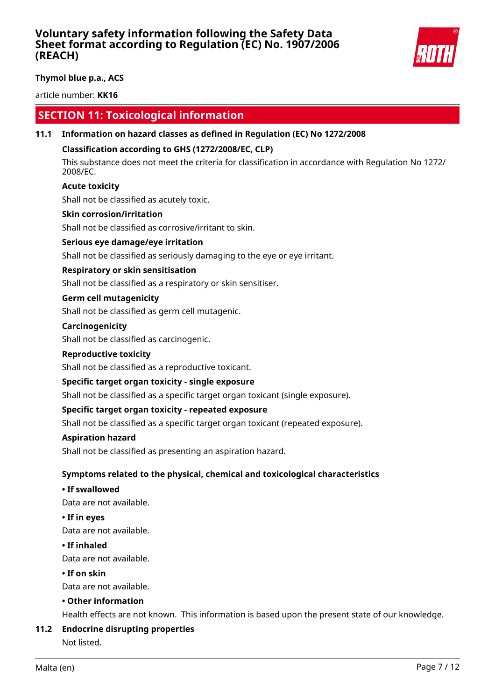

**Thymol blue p.a., ACS**

article number: **KK16**

# **SECTION 11: Toxicological information**

### **11.1 Information on hazard classes as defined in Regulation (EC) No 1272/2008**

### **Classification according to GHS (1272/2008/EC, CLP)**

This substance does not meet the criteria for classification in accordance with Regulation No 1272/ 2008/EC.

### **Acute toxicity**

Shall not be classified as acutely toxic.

### **Skin corrosion/irritation**

Shall not be classified as corrosive/irritant to skin.

### **Serious eye damage/eye irritation**

Shall not be classified as seriously damaging to the eye or eye irritant.

### **Respiratory or skin sensitisation**

Shall not be classified as a respiratory or skin sensitiser.

#### **Germ cell mutagenicity**

Shall not be classified as germ cell mutagenic.

#### **Carcinogenicity**

Shall not be classified as carcinogenic.

#### **Reproductive toxicity**

Shall not be classified as a reproductive toxicant.

### **Specific target organ toxicity - single exposure**

Shall not be classified as a specific target organ toxicant (single exposure).

### **Specific target organ toxicity - repeated exposure**

Shall not be classified as a specific target organ toxicant (repeated exposure).

#### **Aspiration hazard**

Shall not be classified as presenting an aspiration hazard.

### **Symptoms related to the physical, chemical and toxicological characteristics**

#### **• If swallowed**

Data are not available.

#### **• If in eyes**

Data are not available.

#### **• If inhaled**

Data are not available.

#### **• If on skin**

Data are not available.

#### **• Other information**

Health effects are not known. This information is based upon the present state of our knowledge.

### **11.2 Endocrine disrupting properties**

Not listed.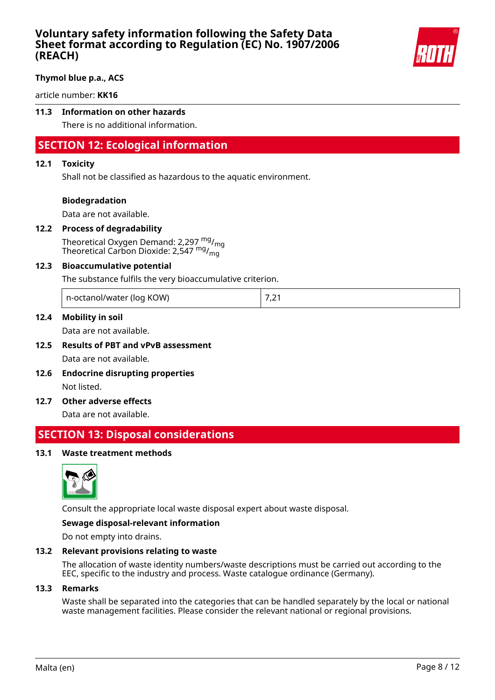

### **Thymol blue p.a., ACS**

article number: **KK16**

# **11.3 Information on other hazards**

There is no additional information.

# **SECTION 12: Ecological information**

#### **12.1 Toxicity**

Shall not be classified as hazardous to the aquatic environment.

#### **Biodegradation**

Data are not available.

#### **12.2 Process of degradability**

Theoretical Oxygen Demand: 2,297  $mg/m<sub>0</sub>$ Theoretical Carbon Dioxide: 2,547 mg/<sub>mg</sub>

#### **12.3 Bioaccumulative potential**

The substance fulfils the very bioaccumulative criterion.

n-octanol/water (log KOW) 7,21

#### **12.4 Mobility in soil**

Data are not available.

- **12.5 Results of PBT and vPvB assessment** Data are not available.
- **12.6 Endocrine disrupting properties** Not listed.
- **12.7 Other adverse effects**

Data are not available.

# **SECTION 13: Disposal considerations**

#### **13.1 Waste treatment methods**



Consult the appropriate local waste disposal expert about waste disposal.

#### **Sewage disposal-relevant information**

Do not empty into drains.

#### **13.2 Relevant provisions relating to waste**

The allocation of waste identity numbers/waste descriptions must be carried out according to the EEC, specific to the industry and process. Waste catalogue ordinance (Germany).

#### **13.3 Remarks**

Waste shall be separated into the categories that can be handled separately by the local or national waste management facilities. Please consider the relevant national or regional provisions.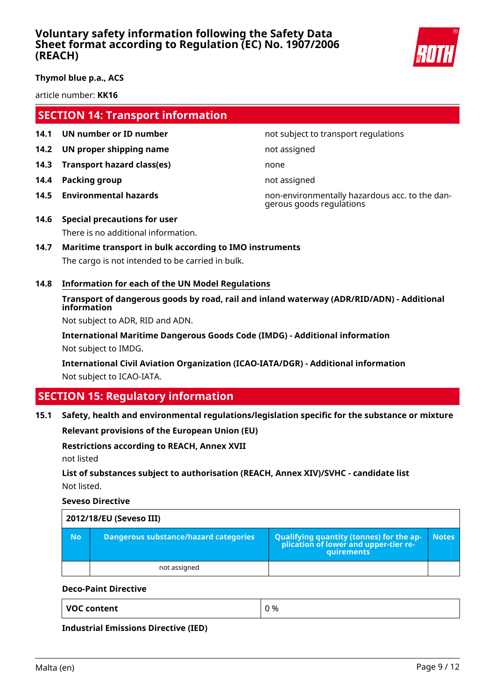

**Thymol blue p.a., ACS**

article number: **KK16**

# **SECTION 14: Transport information**

- **14.1 UN number or ID number not subject to transport regulations**
- **14.2 UN proper shipping name** not assigned
- **14.3 Transport hazard class(es)** none
- **14.4 Packing group not assigned**
- 

**14.5 Environmental hazards** non-environmentally hazardous acc. to the dangerous goods regulations

- **14.6 Special precautions for user** There is no additional information.
- **14.7 Maritime transport in bulk according to IMO instruments** The cargo is not intended to be carried in bulk.
- **14.8 Information for each of the UN Model Regulations**

# **Transport of dangerous goods by road, rail and inland waterway (ADR/RID/ADN) - Additional information**

Not subject to ADR, RID and ADN.

**International Maritime Dangerous Goods Code (IMDG) - Additional information** Not subject to IMDG.

**International Civil Aviation Organization (ICAO-IATA/DGR) - Additional information** Not subject to ICAO-IATA.

# **SECTION 15: Regulatory information**

# **15.1 Safety, health and environmental regulations/legislation specific for the substance or mixture**

**Relevant provisions of the European Union (EU)**

### **Restrictions according to REACH, Annex XVII**

not listed

# **List of substances subject to authorisation (REACH, Annex XIV)/SVHC - candidate list** Not listed.

**Seveso Directive**

|           | 2012/18/EU (Seveso III)                      |                                                                                                   |              |
|-----------|----------------------------------------------|---------------------------------------------------------------------------------------------------|--------------|
| <b>No</b> | <b>Dangerous substance/hazard categories</b> | Qualifying quantity (tonnes) for the application of lower and upper-tier re-<br><b>auirements</b> | <b>Notes</b> |
|           | not assigned                                 |                                                                                                   |              |

### **Deco-Paint Directive**

| <b>VOC content</b> | 0% |
|--------------------|----|
|                    |    |

**Industrial Emissions Directive (IED)**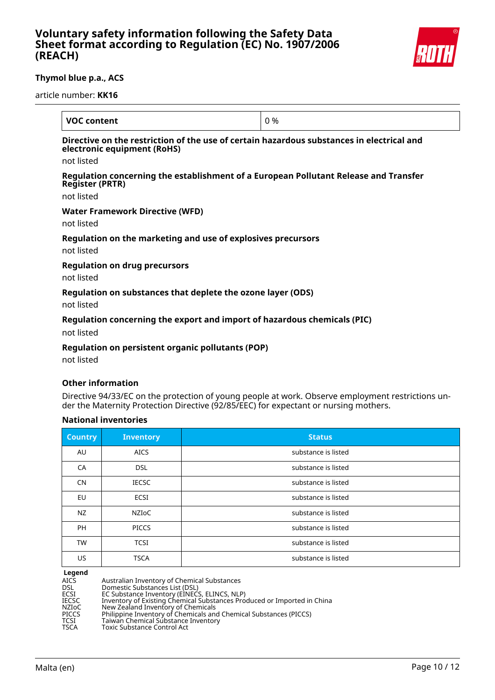

### **Thymol blue p.a., ACS**

article number: **KK16**

| <b>VOC content</b>                                                                                                           | 0 % |
|------------------------------------------------------------------------------------------------------------------------------|-----|
| Directive on the restriction of the use of certain hazardous substances in electrical and<br>electronic equipment (RoHS)     |     |
| not listed                                                                                                                   |     |
| Regulation concerning the establishment of a European Pollutant Release and Transfer<br><b>Register (PRTR)</b><br>not listed |     |
| <b>Water Framework Directive (WFD)</b><br>not listed                                                                         |     |
| Regulation on the marketing and use of explosives precursors<br>not listed                                                   |     |
| <b>Regulation on drug precursors</b><br>not listed                                                                           |     |
| Regulation on substances that deplete the ozone layer (ODS)                                                                  |     |

not listed

### **Regulation concerning the export and import of hazardous chemicals (PIC)**

not listed

### **Regulation on persistent organic pollutants (POP)**

not listed

### **Other information**

Directive 94/33/EC on the protection of young people at work. Observe employment restrictions under the Maternity Protection Directive (92/85/EEC) for expectant or nursing mothers.

### **National inventories**

| <b>Country</b> | <b>Inventory</b> | <b>Status</b>       |
|----------------|------------------|---------------------|
| AU             | <b>AICS</b>      | substance is listed |
| CA             | <b>DSL</b>       | substance is listed |
| CN             | <b>IECSC</b>     | substance is listed |
| EU             | ECSI             | substance is listed |
| NZ             | <b>NZIOC</b>     | substance is listed |
| <b>PH</b>      | <b>PICCS</b>     | substance is listed |
| <b>TW</b>      | <b>TCSI</b>      | substance is listed |
| US.            | <b>TSCA</b>      | substance is listed |

**Legend**

| AICS  | Australian Inventory of Chemical Substances                             |
|-------|-------------------------------------------------------------------------|
| DSL   | Domestic Substances List (DSL)                                          |
| ECSI  | EC Substance Inventory (EINECS, ELINCS, NLP)                            |
| IECSC | Inventory of Existing Chemical Substances Produced or Imported in China |
| NZIoC | New Zealand Inventory of Chemicals                                      |
| PICCS | Philippine Inventory of Chemicals and Chemical Substances (PICCS)       |
| TCSI  | Taiwan Chemical Substance Inventory                                     |
| TSCA  | <b>Toxic Substance Control Act</b>                                      |
|       |                                                                         |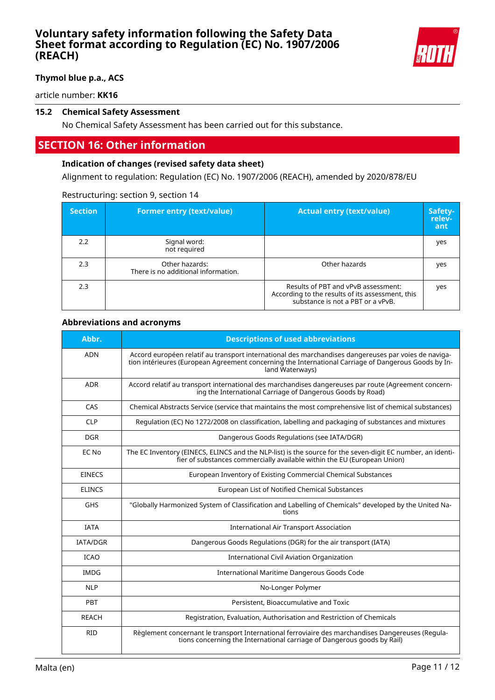

# **Thymol blue p.a., ACS**

article number: **KK16**

### **15.2 Chemical Safety Assessment**

No Chemical Safety Assessment has been carried out for this substance.

# **SECTION 16: Other information**

### **Indication of changes (revised safety data sheet)**

Alignment to regulation: Regulation (EC) No. 1907/2006 (REACH), amended by 2020/878/EU

#### Restructuring: section 9, section 14

| <b>Section</b> | <b>Former entry (text/value)</b>                      | <b>Actual entry (text/value)</b>                                                                                             | Safety-<br>relev-<br>ant |
|----------------|-------------------------------------------------------|------------------------------------------------------------------------------------------------------------------------------|--------------------------|
| 2.2            | Signal word:<br>not required                          |                                                                                                                              | yes                      |
| 2.3            | Other hazards:<br>There is no additional information. | Other hazards                                                                                                                | yes                      |
| 2.3            |                                                       | Results of PBT and vPvB assessment:<br>According to the results of its assessment, this<br>substance is not a PBT or a vPvB. | yes                      |

### **Abbreviations and acronyms**

| Abbr.           | <b>Descriptions of used abbreviations</b>                                                                                                                                                                                       |
|-----------------|---------------------------------------------------------------------------------------------------------------------------------------------------------------------------------------------------------------------------------|
| <b>ADN</b>      | Accord européen relatif au transport international des marchandises dangereuses par voies de naviga-<br>tion intérieures (European Agreement concerning the International Carriage of Dangerous Goods by In-<br>land Waterways) |
| ADR             | Accord relatif au transport international des marchandises dangereuses par route (Agreement concern-<br>ing the International Carriage of Dangerous Goods by Road)                                                              |
| CAS             | Chemical Abstracts Service (service that maintains the most comprehensive list of chemical substances)                                                                                                                          |
| <b>CLP</b>      | Regulation (EC) No 1272/2008 on classification, labelling and packaging of substances and mixtures                                                                                                                              |
| <b>DGR</b>      | Dangerous Goods Regulations (see IATA/DGR)                                                                                                                                                                                      |
| EC No           | The EC Inventory (EINECS, ELINCS and the NLP-list) is the source for the seven-digit EC number, an identi-<br>fier of substances commercially available within the EU (European Union)                                          |
| <b>EINECS</b>   | European Inventory of Existing Commercial Chemical Substances                                                                                                                                                                   |
| <b>ELINCS</b>   | European List of Notified Chemical Substances                                                                                                                                                                                   |
| <b>GHS</b>      | "Globally Harmonized System of Classification and Labelling of Chemicals" developed by the United Na-<br>tions                                                                                                                  |
| <b>IATA</b>     | <b>International Air Transport Association</b>                                                                                                                                                                                  |
| <b>IATA/DGR</b> | Dangerous Goods Regulations (DGR) for the air transport (IATA)                                                                                                                                                                  |
| <b>ICAO</b>     | <b>International Civil Aviation Organization</b>                                                                                                                                                                                |
| <b>IMDG</b>     | International Maritime Dangerous Goods Code                                                                                                                                                                                     |
| <b>NLP</b>      | No-Longer Polymer                                                                                                                                                                                                               |
| <b>PBT</b>      | Persistent, Bioaccumulative and Toxic                                                                                                                                                                                           |
| <b>REACH</b>    | Registration, Evaluation, Authorisation and Restriction of Chemicals                                                                                                                                                            |
| <b>RID</b>      | Règlement concernant le transport International ferroviaire des marchandises Dangereuses (Regula-<br>tions concerning the International carriage of Dangerous goods by Rail)                                                    |